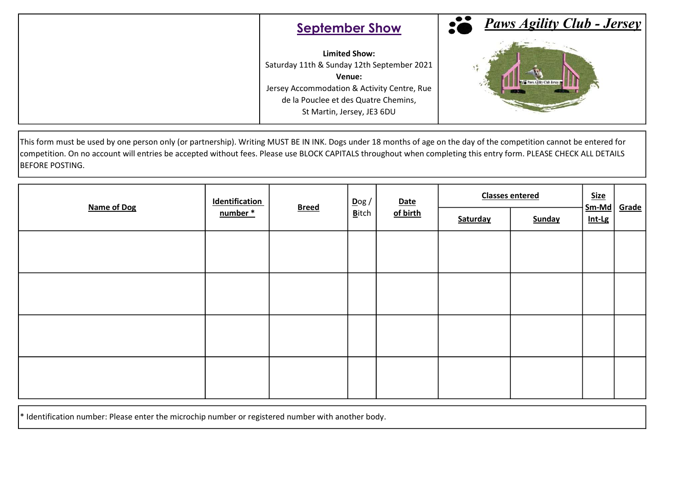| <b>September Show</b>                                                                                                                                                                             | <b>Paws Agility Club - Jersey</b> |
|---------------------------------------------------------------------------------------------------------------------------------------------------------------------------------------------------|-----------------------------------|
| <b>Limited Show:</b><br>Saturday 11th & Sunday 12th September 2021<br>Venue:<br>Jersey Accommodation & Activity Centre, Rue<br>de la Pouclee et des Quatre Chemins,<br>St Martin, Jersey, JE3 6DU | Paws Agility Club Jersey          |

This form must be used by one person only (or partnership). Writing MUST BE IN INK. Dogs under 18 months of age on the day of the competition cannot be entered for competition. On no account will entries be accepted without fees. Please use BLOCK CAPITALS throughout when completing this entry form. PLEASE CHECK ALL DETAILS BEFORE POSTING.

| <b>Name of Dog</b> | <b>Identification</b><br>number * | <b>Breed</b> | $\overline{\text{D}}$ og /<br><b>B</b> itch | <b>Date</b><br>of birth | <b>Classes entered</b> |        | <b>Size</b><br>$Sm-Md$ | <b>Grade</b> |
|--------------------|-----------------------------------|--------------|---------------------------------------------|-------------------------|------------------------|--------|------------------------|--------------|
|                    |                                   |              |                                             |                         | Saturday               | Sunday | Int-Lg                 |              |
|                    |                                   |              |                                             |                         |                        |        |                        |              |
|                    |                                   |              |                                             |                         |                        |        |                        |              |
|                    |                                   |              |                                             |                         |                        |        |                        |              |
|                    |                                   |              |                                             |                         |                        |        |                        |              |
|                    |                                   |              |                                             |                         |                        |        |                        |              |
|                    |                                   |              |                                             |                         |                        |        |                        |              |
|                    |                                   |              |                                             |                         |                        |        |                        |              |
|                    |                                   |              |                                             |                         |                        |        |                        |              |

 $*$  Identification number: Please enter the microchip number or registered number with another body.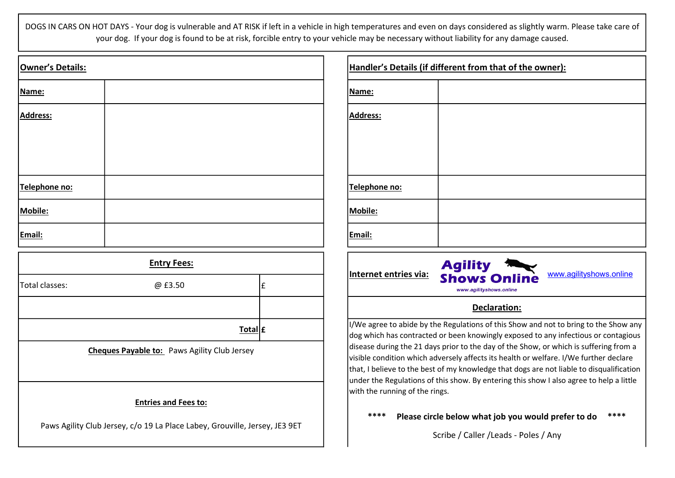DOGS IN CARS ON HOT DAYS - Your dog is vulnerable and AT RISK if left in a vehicle in high temperatures and even on days considered as slightly warm. Please take care of your dog. If your dog is found to be at risk, forcible entry to your vehicle may be necessary without liability for any damage caused.

| Owner's Details: |  | Handler         |
|------------------|--|-----------------|
| Name:            |  | Name:           |
| Address:         |  | Address:        |
| Telephone no:    |  | <b>Telephor</b> |
| Mobile:          |  | Mobile:         |
| Email:           |  | Email:          |

| <b>Entry Fees:</b> |                                                     |   |
|--------------------|-----------------------------------------------------|---|
| Total classes:     | @ £3.50                                             | £ |
|                    |                                                     |   |
|                    | Total $ f $                                         |   |
|                    | <b>Cheques Payable to:</b> Paws Agility Club Jersey |   |

## Entries and Fees to:

Paws Agility Club Jersey, c/o 19 La Place Labey, Grouville, Jersey, JE3 9ET

| Handler's Details (if different from that of the owner): |  |  |
|----------------------------------------------------------|--|--|
| Name:                                                    |  |  |
| <b>Address:</b>                                          |  |  |
|                                                          |  |  |
|                                                          |  |  |
| Telephone no:                                            |  |  |
| Mobile:                                                  |  |  |
| Email:                                                   |  |  |



## Declaration:

I/We agree to abide by the Regulations of this Show and not to bring to the Show any dog which has contracted or been knowingly exposed to any infectious or contagious disease during the 21 days prior to the day of the Show, or which is suffering from a visible condition which adversely affects its health or welfare. I/We further declare that, I believe to the best of my knowledge that dogs are not liable to disqualification under the Regulations of this show. By entering this show I also agree to help a little with the running of the rings.

## \*\*\*\* Please circle below what job you would prefer to do \*\*\*\*

Scribe / Caller /Leads - Poles / Any